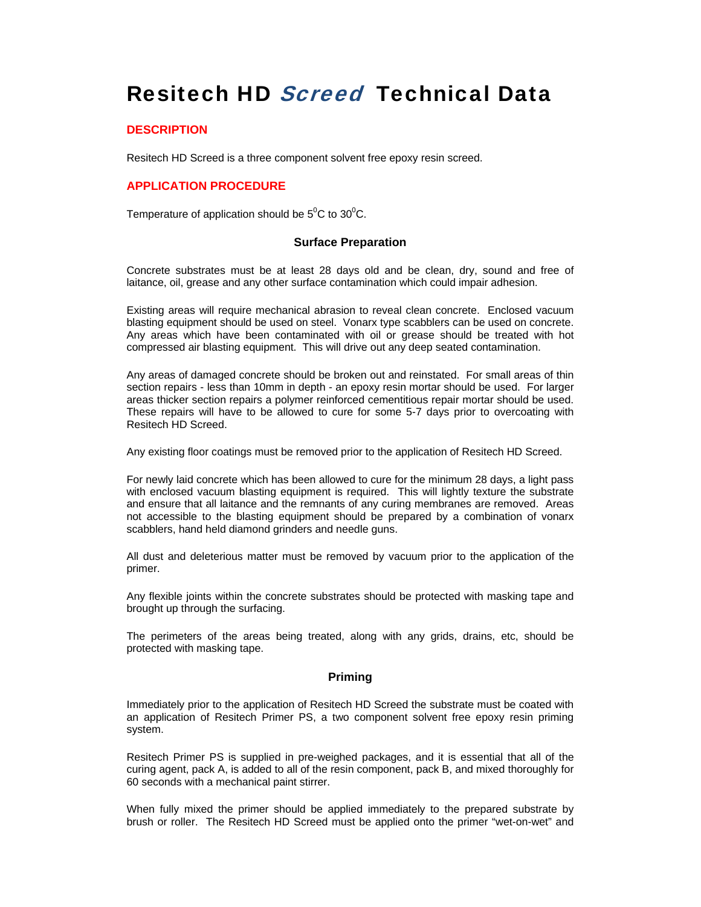# Resitech HD Screed Technical Data

### **DESCRIPTION**

Resitech HD Screed is a three component solvent free epoxy resin screed.

# **APPLICATION PROCEDURE**

Temperature of application should be  $5^0C$  to  $30^0C$ .

#### **Surface Preparation**

Concrete substrates must be at least 28 days old and be clean, dry, sound and free of laitance, oil, grease and any other surface contamination which could impair adhesion.

Existing areas will require mechanical abrasion to reveal clean concrete. Enclosed vacuum blasting equipment should be used on steel. Vonarx type scabblers can be used on concrete. Any areas which have been contaminated with oil or grease should be treated with hot compressed air blasting equipment. This will drive out any deep seated contamination.

Any areas of damaged concrete should be broken out and reinstated. For small areas of thin section repairs - less than 10mm in depth - an epoxy resin mortar should be used. For larger areas thicker section repairs a polymer reinforced cementitious repair mortar should be used. These repairs will have to be allowed to cure for some 5-7 days prior to overcoating with Resitech HD Screed.

Any existing floor coatings must be removed prior to the application of Resitech HD Screed.

For newly laid concrete which has been allowed to cure for the minimum 28 days, a light pass with enclosed vacuum blasting equipment is required. This will lightly texture the substrate and ensure that all laitance and the remnants of any curing membranes are removed. Areas not accessible to the blasting equipment should be prepared by a combination of vonarx scabblers, hand held diamond grinders and needle guns.

All dust and deleterious matter must be removed by vacuum prior to the application of the primer.

Any flexible joints within the concrete substrates should be protected with masking tape and brought up through the surfacing.

The perimeters of the areas being treated, along with any grids, drains, etc, should be protected with masking tape.

#### **Priming**

Immediately prior to the application of Resitech HD Screed the substrate must be coated with an application of Resitech Primer PS, a two component solvent free epoxy resin priming system.

Resitech Primer PS is supplied in pre-weighed packages, and it is essential that all of the curing agent, pack A, is added to all of the resin component, pack B, and mixed thoroughly for 60 seconds with a mechanical paint stirrer.

When fully mixed the primer should be applied immediately to the prepared substrate by brush or roller. The Resitech HD Screed must be applied onto the primer "wet-on-wet" and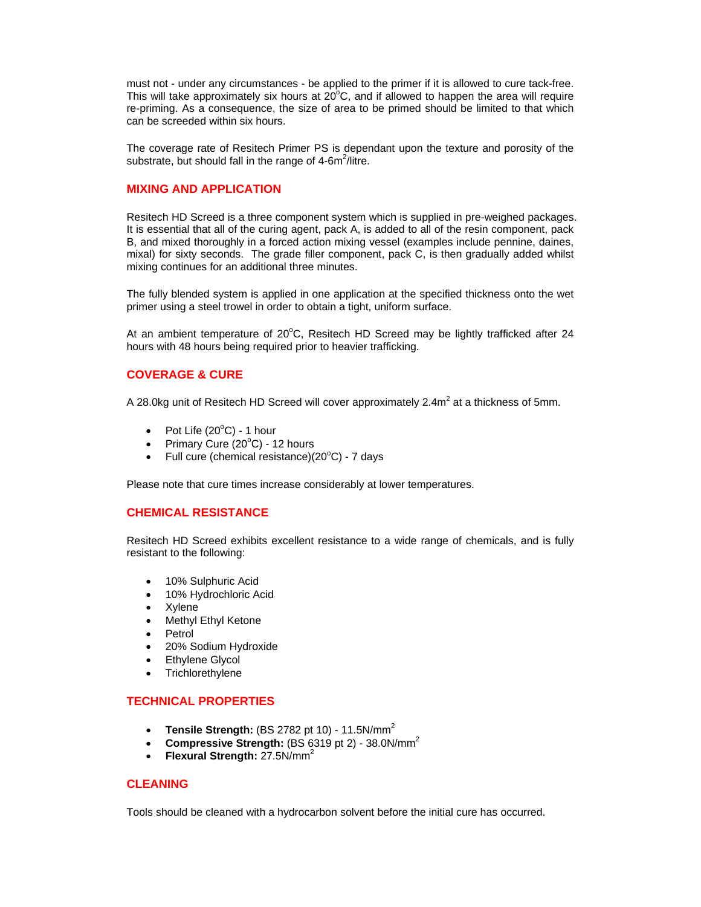must not - under any circumstances - be applied to the primer if it is allowed to cure tack-free. This will take approximately six hours at  $20^{\circ}$ C, and if allowed to happen the area will require re-priming. As a consequence, the size of area to be primed should be limited to that which can be screeded within six hours.

The coverage rate of Resitech Primer PS is dependant upon the texture and porosity of the substrate, but should fall in the range of  $4\text{-}6\text{m}^2/\text{litre}$ .

## **MIXING AND APPLICATION**

Resitech HD Screed is a three component system which is supplied in pre-weighed packages. It is essential that all of the curing agent, pack A, is added to all of the resin component, pack B, and mixed thoroughly in a forced action mixing vessel (examples include pennine, daines, mixal) for sixty seconds. The grade filler component, pack C, is then gradually added whilst mixing continues for an additional three minutes.

The fully blended system is applied in one application at the specified thickness onto the wet primer using a steel trowel in order to obtain a tight, uniform surface.

At an ambient temperature of 20°C, Resitech HD Screed may be lightly trafficked after 24 hours with 48 hours being required prior to heavier trafficking.

#### **COVERAGE & CURE**

A 28.0kg unit of Resitech HD Screed will cover approximately 2.4 $m^2$  at a thickness of 5mm.

- Pot Life  $(20^{\circ}C)$  1 hour
- Primary Cure  $(20^{\circ}$ C) 12 hours
- Full cure (chemical resistance) $(20^{\circ}C)$  7 days

Please note that cure times increase considerably at lower temperatures.

# **CHEMICAL RESISTANCE**

Resitech HD Screed exhibits excellent resistance to a wide range of chemicals, and is fully resistant to the following:

- 10% Sulphuric Acid
- 10% Hydrochloric Acid
- **Xylene**
- Methyl Ethyl Ketone
- Petrol
- 20% Sodium Hydroxide
- **Ethylene Glycol**
- **Trichlorethylene**

## **TECHNICAL PROPERTIES**

- **Tensile Strength:** (BS 2782 pt 10) 11.5N/mm<sup>2</sup>
- **Compressive Strength:** (BS 6319 pt 2) 38.0N/mm<sup>2</sup>
- **Flexural Strength:** 27.5N/mm<sup>2</sup>

#### **CLEANING**

Tools should be cleaned with a hydrocarbon solvent before the initial cure has occurred.